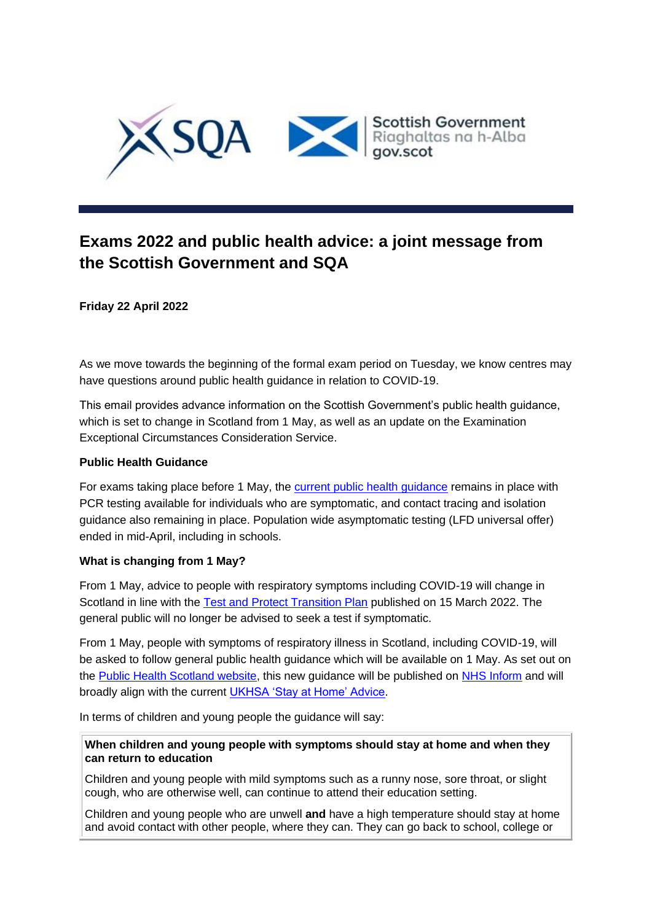

# **Exams 2022 and public health advice: a joint message from the Scottish Government and SQA**

**Friday 22 April 2022**

As we move towards the beginning of the formal exam period on Tuesday, we know centres may have questions around public health guidance in relation to COVID-19.

This email provides advance information on the Scottish Government's public health guidance, which is set to change in Scotland from 1 May, as well as an update on the Examination Exceptional Circumstances Consideration Service.

### **Public Health Guidance**

For exams taking place before 1 May, the [current public health guidance](https://pages2.sqa.org.uk/ol/hkBWd8POdlhd6BImvsW7Cvq9z3iVIs7x9vEwXKKyi4Iuy0d6P6GCbxm83ZVcD5U7YbTORwYZF80xhh9WR7DTeYlEp9lwJ0iwSj7tiYHKZI4AdrtlktRqub2s3D1X_onaxBrPAUoNS0J5aVvPOehy3G62dpU7SxGGpz2Hcw,,/jEhWcszMKllNoVdlsbPWNb760TvIaZGmvbNvBLn10cAqlkFyfuLKK1Lqm55QEpZ_ZuaQBQsEGp9v00NRFOaQf5RJ9ftORkC8XHbvj6jJYINHf7M8385z8KakzmkXv87PkVPaAEtDESgjOwuWfYA0iza6HqQCDi-x9ljyFtc5sQwppJwl8bbzUqWM_namxhLwtDi3F34s6POTpwyqOqw4v98WhmIN-QYHdOvZ6jvl1pVovgkZ5N4ujhtdr_9YFc1uyz6NVgjT_aWpGfhZVri4psqmhNEwXSRioIsvWmmEK0O3F6etUw9L1DypkzI,) remains in place with PCR testing available for individuals who are symptomatic, and contact tracing and isolation guidance also remaining in place. Population wide asymptomatic testing (LFD universal offer) ended in mid-April, including in schools.

# **What is changing from 1 May?**

From 1 May, advice to people with respiratory symptoms including COVID-19 will change in Scotland in line with the [Test and Protect Transition Plan](https://pages2.sqa.org.uk/ol/hkBZcsHJdlhd6BImvsW7Cvq9z3iVIs7x9vEwXKKyi4Iuy0d6P6GCbxm83ZVcD5U7YbTORwYZF80xhh9WR7DTeYlEp9lwJ0iwSj7tiYHKZI4AdrtlktRqub2s3D1X_onaxBrPAUoNS0J5aVvMPux10G-xdpU7SxGGpz2Hcw,,/j09SdcDNLVlNoVdlsbPWNb760TLPbNa7uLNpRufz0MM32klqe-PBKw77jcBFUYIgav2bAhZdB4Jgzh9RDumacs1Q9vRTRB6_Uy_AlK7RMqN6UOVf6s1CzIv1wk0hi_yjs3voUWAYeHRpYjXLX-ctvR7IYZwRV07X7E30Z6MrixErrKxS95ugUrq62WeJuFPpziS8bVJ61piYwGm4CrJHn98tj1gOuQY2SvT76QPvloQJsBQBoMd5jD1oo_5qJNFF1TmkZAHMwYr_) published on 15 March 2022. The general public will no longer be advised to seek a test if symptomatic.

From 1 May, people with symptoms of respiratory illness in Scotland, including COVID-19, will be asked to follow general public health guidance which will be available on 1 May. As set out on the [Public Health Scotland website,](https://pages2.sqa.org.uk/ol/hkBWcc3Idlhd6BImvsW7Cvq9z3iVIs7x9vEwXKKyi4Iuy0d6P6GCbxm83ZVcD5U7YbTORwYZF80xhh9WR7DTeYlEp9lwJ0iwSj7tiYHKZI4AdrtlktRqub2s3D1X_onaxBrPAUoNS0J5aVvPOu1w0mm3dpU7SxGGpz2Hcw,,/jEtTcMLLK1lNoVdlsbPWMrzvkzzDcp2pt6h1GvTpxsM_10wwYe_ALA7gncEcHYA3ZPrTDgRdBJ9zy0NbFfaceM0Ro7peBFe7XHau2ezSaoxCZbw-zNNu662mzGkKpJCFh1XICEENRT5jcgOPf7Ylk3DmPpRuUwKT_2jVeIA2lSwJi74Bmc2mdqeL73yrqGryzWSiAl1e1-LL8HGYLbhLuvAl524y0FUje9Og1W3K-58K-CoJ_aEnmypapNh6N_BLyQLffy3oy4b2bfxHD6KdsvPA5f4uXUc0obAqfUX8LVOfP5OyKHRhxgeBnAMQZQNCPwJgXMQgkzGC6HlCc_MjcwqZogwM4Wom) this new guidance will be published on [NHS Inform](https://pages2.sqa.org.uk/ol/hkBZcsLHdlhd6BImvsW7Cvq9z3iVIs7x9vEwXKKyi4Iuy0d6P6GCbxm83ZVcD5U7YbTORwYZF80xhh9WR7DTeYlEp9lwJ0iwSj7tiYHKZI4AdrtlktRqub2s3D1X_onaxBrPAUoNS0J5aVvPPe5x1mS-dpU7SxGGpz2Hcw,,/jExQccbGIllNoVdlsbPWNb760TvIaZGmvbNvBLn10cAqlkFyfuLKK1Lqm55QEpZ_ZuaQBQsEGp9v00NRFOaQf5RJ9ftORkC8XHbvj6jJYINHf7M8385z8KakzmkXv87PkVPaAEtDESgjZwmPZrEhkjT1JYNuXAyR83-MZN5umy0GgK8F2t-qeaW9-Hb_-E_S0yGBPwxT0ODKxmqwL6pJy80sm2AFyXEBWbjZ9Q3Cx7oW_xBj-NVUok1jxPQ_cN9e1UGtVjPax6bpGclnSZq7nsDmlbA-QDwmudwtfFyIKnGGC4yzVCZ53SOVvGRuIQx6KzpsIbsWvgm3hy5xeeovQXW2gC076VoL-JJ88az9tg,,) and will broadly align with the current [UKHSA 'Stay at Home' Advice.](https://pages2.sqa.org.uk/ol/hkBWeMDGdlhd6BImvsW7Cvq9z3iVIs7x9vEwXKKyi4Iuy0d6P6GCbxm83ZVcD5U7YbTORwYZF80xhh9WR7DTeYlEp9lwJ0iwSj7tiYHKZI4AdrtlktRqub2s3D1X_onaxBrPAUoNS0J5aVvPOe1z3G-wdpU7SxGGpz2Hcw,,/jEhTc8zNLFlNoVdlsbPWNb760TLPbNa9sPN6HP7i08E93Adud-PfNESin9pFFN8hfOSOFQ0dAN1uxkFZV_KQb5BJ6PRJBFOrFTLxhqTZe4RBf_l60sJt6qys1mdIqdKUm1iBWBZRTXp4WxKSYuIOsBy2HKYvfDCkqmHsEaYCvQkvoeUrwKqueLWHrUX4-H3lw2SCBlkwtNet3w6YBI5TuP4Q6WAt438vc8LiynjQ7Z40m3848t4ujjZa8vpZDc1gzCOQdHW19LjsQuJYauGKvPvAhqgCYR8WjNAsY2rJBG6ZIrC9Vgd09g,,)

In terms of children and young people the guidance will say:

**When children and young people with symptoms should stay at home and when they can return to education**

Children and young people with mild symptoms such as a runny nose, sore throat, or slight cough, who are otherwise well, can continue to attend their education setting.

Children and young people who are unwell **and** have a high temperature should stay at home and avoid contact with other people, where they can. They can go back to school, college or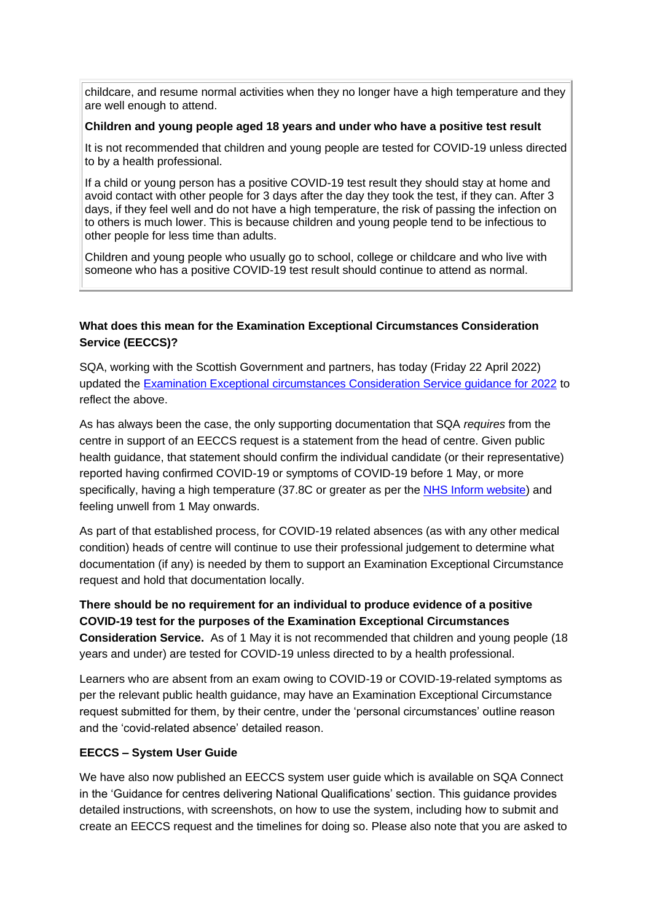childcare, and resume normal activities when they no longer have a high temperature and they are well enough to attend.

#### **Children and young people aged 18 years and under who have a positive test result**

It is not recommended that children and young people are tested for COVID-19 unless directed to by a health professional.

If a child or young person has a positive COVID-19 test result they should stay at home and avoid contact with other people for 3 days after the day they took the test, if they can. After 3 days, if they feel well and do not have a high temperature, the risk of passing the infection on to others is much lower. This is because children and young people tend to be infectious to other people for less time than adults.

Children and young people who usually go to school, college or childcare and who live with someone who has a positive COVID-19 test result should continue to attend as normal.

# **What does this mean for the Examination Exceptional Circumstances Consideration Service (EECCS)?**

SQA, working with the Scottish Government and partners, has today (Friday 22 April 2022) updated the [Examination Exceptional circumstances Consideration Service guidance for 2022](https://pages2.sqa.org.uk/ol/hkBZdMPNdlhd6BImvsW7Cvq9z3iVIs7x9vEwXKKyi4Iuy0d6P6GCbxm83ZVcD5U7YbTORwYZF80xhh9WR7DTeYlEp9lwJ0iwSj7tiYHKZI4AdrtlktRqub2s3D1X_onaxBrPAUoNS0J5aVvPOe9402WydpU7SxGGpz2Hcw,,/jEhReMPHLllNoVdlsbPWNb760SbRe9anqbszHPypwd4_lk53funcB0Lsi5xfDd9gNbvMTAcIEJVx1AVXFOGZMYNJ6PZIBlKmWTX8hbKXaIhAdKZy0Ixo8a6qym0EvtSNnBLcDUlRTXp4WxKSYuIOsBy2HKYvfDCkqmHsEaYCvQkvoeUrwKqueLWHrUX4-H3lw2SCBlkwtNet3w6YBI5TuP4Q6WAt438vc8LiynjQ7Z40m3848t4ujjZa8vpZDc1gzCOQdHW19LjsQuJYauGKvPvAhqgCYR8WjNAsY2rJBG6ZIrC9Vgd09g,,) to reflect the above.

As has always been the case, the only supporting documentation that SQA *requires* from the centre in support of an EECCS request is a statement from the head of centre. Given public health guidance, that statement should confirm the individual candidate (or their representative) reported having confirmed COVID-19 or symptoms of COVID-19 before 1 May, or more specifically, having a high temperature (37.8C or greater as per the [NHS Inform website\)](https://pages2.sqa.org.uk/ol/hkBYccPKdlhd6BImvsW7Cvq9z3iVIs7x9vEwXKKyi4Iuy0d6P6GCbxm83ZVcD5U7YbTORwYZF80xhh9WR7DTeYlEp9lwJ0iwSj7tiYHKZI4AdrtlktRqub2s3D1X_onaxBrPAUoNS0J5aVvOOex23GW-dpU7SxGGpz2Hcw,,/jUhSdszHIllNoVdlsbPWNb760TvIaZGmvbNvBLn10cAqlkFyfuLKK1Lqm55QEpZ_ZuaQBQsEGp9v00NRFOaQf5RJ9ftORkC8XHbvj6jJYINHf7M8385z8KakzmkXv87PkVPaAEtDESgjcAOOffIhijmqIIIsSwaE7jTCOpUskikejK8Rxd-ocqW9_z7xrAnB-TyKNV9-4Yyd5U7xBJZ_iNIJsE0g-x0xdPT-riXI0a8sqyo-uO94nxNh9-p7Mtx7rRqHWCHg8Ib3QbdjSaGNhO354dMdTk8bvYkNSE2BM3aXLqu5WAVVqTyarjA9Nwg4EGhXMMwBwxy3tTYKYd07FAS8jxAA7X539KFS8YD2kzu4JW_FHTHM-BOs-VajA7QGxF-_n9cM1TP9YFX-yPtuW3OJWs7ztXyKE7vDumAzG_5RWdg_H5y989uS4dE7) and feeling unwell from 1 May onwards.

As part of that established process, for COVID-19 related absences (as with any other medical condition) heads of centre will continue to use their professional judgement to determine what documentation (if any) is needed by them to support an Examination Exceptional Circumstance request and hold that documentation locally.

**There should be no requirement for an individual to produce evidence of a positive COVID-19 test for the purposes of the Examination Exceptional Circumstances Consideration Service.** As of 1 May it is not recommended that children and young people (18 years and under) are tested for COVID-19 unless directed to by a health professional.

Learners who are absent from an exam owing to COVID-19 or COVID-19-related symptoms as per the relevant public health guidance, may have an Examination Exceptional Circumstance request submitted for them, by their centre, under the 'personal circumstances' outline reason and the 'covid-related absence' detailed reason.

# **EECCS – System User Guide**

We have also now published an EECCS system user guide which is available on SQA Connect in the 'Guidance for centres delivering National Qualifications' section. This guidance provides detailed instructions, with screenshots, on how to use the system, including how to submit and create an EECCS request and the timelines for doing so. Please also note that you are asked to